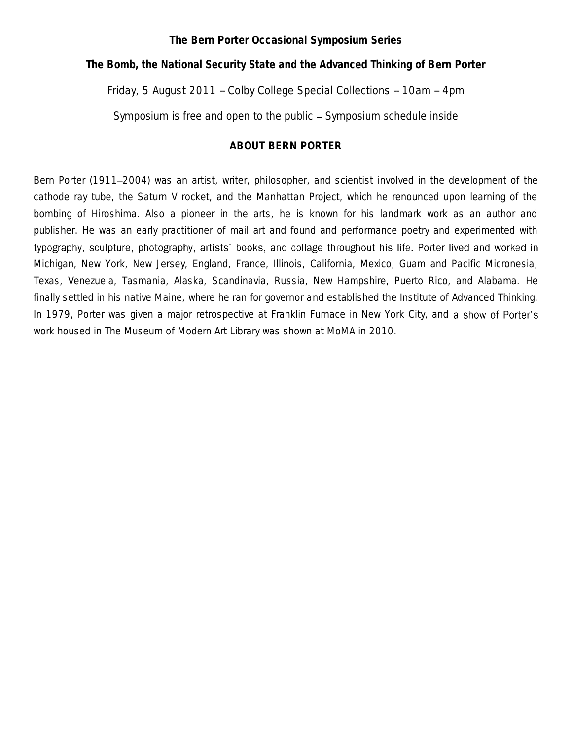#### **The Bern Porter Occasional Symposium Series**

*The Bomb, the National Security State and the Advanced Thinking of Bern Porter*

#### Friday, 5 August 2011 -- Colby College Special Collections -- 10am -- 4pm

Symposium is free and open to the public - Symposium schedule inside

#### **ABOUT BERN PORTER**

Bern Porter (1911–2004) was an artist, writer, philosopher, and scientist involved in the development of the cathode ray tube, the Saturn V rocket, and the Manhattan Project, which he renounced upon learning of the bombing of Hiroshima. Also a pioneer in the arts, he is known for his landmark work as an author and publisher. He was an early practitioner of mail art and found and performance poetry and experimented with typography, sculpture, photography, artists' books, and collage throughout his life. Porter lived and worked in Michigan, New York, New Jersey, England, France, Illinois, California, Mexico, Guam and Pacific Micronesia, Texas, Venezuela, Tasmania, Alaska, Scandinavia, Russia, New Hampshire, Puerto Rico, and Alabama. He finally settled in his native Maine, where he ran for governor and established the Institute of Advanced Thinking. In 1979, Porter was given a major retrospective at Franklin Furnace in New York City, and a show of Porter's work housed in The Museum of Modern Art Library was shown at MoMA in 2010.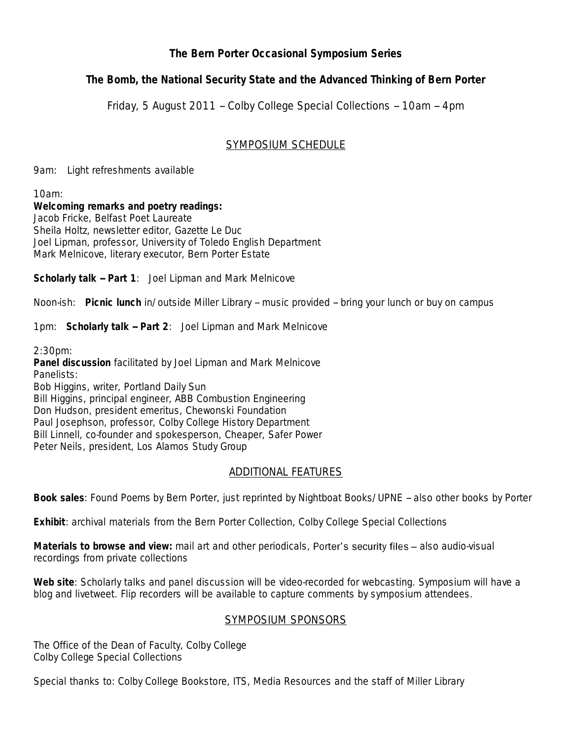## **The Bern Porter Occasional Symposium Series**

*The Bomb, the National Security State and the Advanced Thinking of Bern Porter*

Friday, 5 August 2011 -- Colby College Special Collections -- 10am -- 4pm

## SYMPOSIUM SCHEDULE

9am: Light refreshments available

10am:

**Welcoming remarks and poetry readings:** Jacob Fricke, Belfast Poet Laureate Sheila Holtz, newsletter editor, *Gazette Le Duc* Joel Lipman, professor, University of Toledo English Department Mark Melnicove, literary executor, Bern Porter Estate

**Scholarly talk -- Part 1**: Joel Lipman and Mark Melnicove

Noon-ish: **Picnic lunch** in/outside Miller Library -- music provided -- bring your lunch or buy on campus

1pm: **Scholarly talk -- Part 2**: Joel Lipman and Mark Melnicove

2:30pm:

**Panel discussion** facilitated by Joel Lipman and Mark Melnicove Panelists: Bob Higgins, writer, Portland Daily Sun Bill Higgins, principal engineer, ABB Combustion Engineering Don Hudson, president emeritus, Chewonski Foundation Paul Josephson, professor, Colby College History Department Bill Linnell, co-founder and spokesperson, Cheaper, Safer Power Peter Neils, president, Los Alamos Study Group

# ADDITIONAL FEATURES

**Book sales**: *Found Poems* by Bern Porter, just reprinted by Nightboat Books/UPNE -- also other books by Porter

**Exhibit**: archival materials from the Bern Porter Collection, Colby College Special Collections

Materials to browse and view: mail art and other periodicals, Porter's security files - also audio-visual recordings from private collections

**Web site**: Scholarly talks and panel discussion will be video-recorded for webcasting. Symposium will have a blog and livetweet. Flip recorders will be available to capture comments by symposium attendees.

## SYMPOSIUM SPONSORS

The Office of the Dean of Faculty, Colby College Colby College Special Collections

Special thanks to: Colby College Bookstore, ITS, Media Resources and the staff of Miller Library